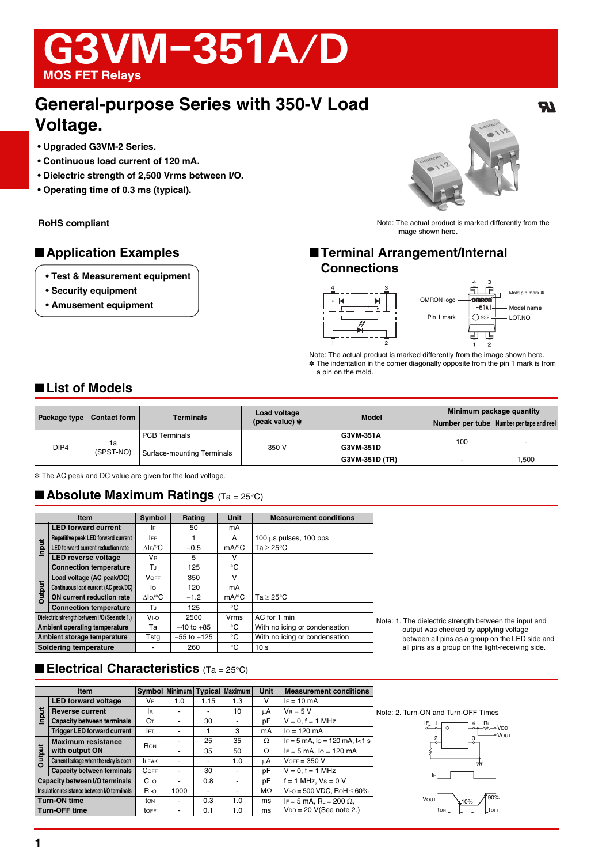# G3VM-351A/D **MOS FET Relays**

# **General-purpose Series with 350-V Load Voltage.**

- **Upgraded G3VM-2 Series.**
- **Continuous load current of 120 mA.**
- **Dielectric strength of 2,500 Vrms between I/O.**
- **Operating time of 0.3 ms (typical).**

- **Test & Measurement equipment**
- **Security equipment**
- **Amusement equipment**



 $\boldsymbol{\mathcal{H}}$ 

**RoHS compliant RoHS** compliant image shown here.

# ■ **Application Examples** ■ **Terminal Arrangement/Internal Connections**



Note: The actual product is marked differently from the image shown here. \* The indentation in the corner diagonally opposite from the pin 1 mark is from a pin on the mold.

# ■ **List of Models**

| Package type | Contact form    | <b>Terminals</b>           | Load voltage     | <b>Model</b>     | Minimum package quantity |                                          |
|--------------|-----------------|----------------------------|------------------|------------------|--------------------------|------------------------------------------|
|              |                 |                            | (peak value) $*$ |                  |                          | Number per tube Number per tape and reel |
| DIP4         | 1a<br>(SPST-NO) | <b>PCB Terminals</b>       |                  | G3VM-351A        |                          |                                          |
|              |                 | Surface-mounting Terminals | 350 V            | 100<br>G3VM-351D |                          |                                          |
|              |                 |                            |                  | G3VM-351D (TR)   |                          | 1,500                                    |

\* The AC peak and DC value are given for the load voltage.

## ■ **Absolute Maximum Ratings** (Ta = 25°C)

|                             | <b>Item</b>                                   | Symbol                       | Rating          | <b>Unit</b>         | <b>Measurement conditions</b>               |             |
|-----------------------------|-----------------------------------------------|------------------------------|-----------------|---------------------|---------------------------------------------|-------------|
| <b>LED forward current</b>  |                                               | I۴                           | 50              | mA                  |                                             |             |
| Input                       | Repetitive peak LED forward current           | <b>IFP</b>                   |                 | A                   | $100 \text{ µs pulses}$ , $100 \text{ pps}$ |             |
|                             | LED forward current reduction rate            | $\Lambda$ IF/ ${}^{\circ}$ C | $-0.5$          | $mA$ <sup>o</sup> C | Ta > 25°C                                   |             |
|                             | <b>LED reverse voltage</b>                    | <b>V</b> <sub>R</sub>        | 5               | v                   |                                             |             |
|                             | <b>Connection temperature</b>                 | T.I                          | 125             | °C                  |                                             |             |
| Output                      | Load voltage (AC peak/DC)                     | <b>VOFF</b>                  | 350             | $\vee$              |                                             |             |
|                             | Continuous load current (AC peak/DC)          | Ιo                           | 120             | mA                  |                                             |             |
|                             | ON current reduction rate                     | $\Delta$ lo/°C               | $-1.2$          | $mA$ <sup>o</sup> C | $Ta > 25^{\circ}C$                          |             |
|                             | <b>Connection temperature</b>                 | T.I                          | 125             | °C                  |                                             |             |
|                             | Dielectric strength between I/O (See note 1.) | V <sub>1</sub>               | 2500            | Vrms                | AC for 1 min                                | <b>Note</b> |
|                             | Ambient operating temperature                 | Тa                           | $-40$ to $+85$  | °C                  | With no icing or condensation               |             |
| Ambient storage temperature |                                               | Tstg                         | $-55$ to $+125$ | °C                  | With no icing or condensation               |             |
| Soldering temperature       |                                               |                              | 260             | °C                  | 10 <sub>s</sub>                             |             |

1. The dielectric strength between the input and output was checked by applying voltage between all pins as a group on the LED side and all pins as a group on the light-receiving side.

# ■ **Electrical Characteristics** (Ta = 25°C)

|                                             | <b>Item</b>                            |                |      |                          | Symbol   Minimum   Typical   Maximum | <b>Unit</b> | <b>Measurement conditions</b>                 |
|---------------------------------------------|----------------------------------------|----------------|------|--------------------------|--------------------------------------|-------------|-----------------------------------------------|
| <b>Jut</b><br>Ξ                             | <b>LED forward voltage</b>             | VF             | 1.0  | 1.15                     | 1.3                                  | v           | $IF = 10 mA$                                  |
|                                             | <b>Reverse current</b>                 | <b>I</b> R     |      |                          | 10                                   | μA          | $V_B = 5 V$                                   |
|                                             | <b>Capacity between terminals</b>      | Cт             |      | 30                       |                                      | рF          | $V = 0$ , $f = 1$ MHz                         |
|                                             | <b>Trigger LED forward current</b>     | IFT            |      |                          | 3                                    | mA          | $I_0 = 120$ mA                                |
| <b>Dutput</b>                               | <b>Maximum resistance</b>              | RON            |      | 25                       | 35                                   | Ω           | $IF = 5$ mA, $Io = 120$ mA, $t < 1$ s         |
|                                             | with output ON                         |                |      | 35                       | 50                                   | Ω           | $IF = 5 mA$ , $Io = 120 mA$                   |
|                                             | Current leakage when the relay is open | <b>LEAK</b>    |      | $\overline{\phantom{0}}$ | 1.0                                  | μA          | $VOF = 350 V$                                 |
|                                             | <b>Capacity between terminals</b>      | COFF           |      | 30                       |                                      | pF          | $V = 0$ , $f = 1$ MHz                         |
|                                             | Capacity between I/O terminals         | C <sub>1</sub> |      | 0.8                      | ٠                                    | pF          | $f = 1$ MHz, $Vs = 0$ V                       |
| Insulation resistance between I/O terminals |                                        | R <sub>1</sub> | 1000 |                          | ٠                                    | $M\Omega$   | $V_{1-O} = 500 \text{ VDC}$ , RoH $\leq 60\%$ |
| <b>Turn-ON time</b>                         |                                        | ton            |      | 0.3                      | 1.0                                  | ms          | IF = 5 mA, RL = 200 $\Omega$ ,                |
| <b>Turn-OFF time</b>                        |                                        | toff           |      | 0.1                      | 1.0                                  | ms          | $V_{DD} = 20$ V(See note 2.)                  |

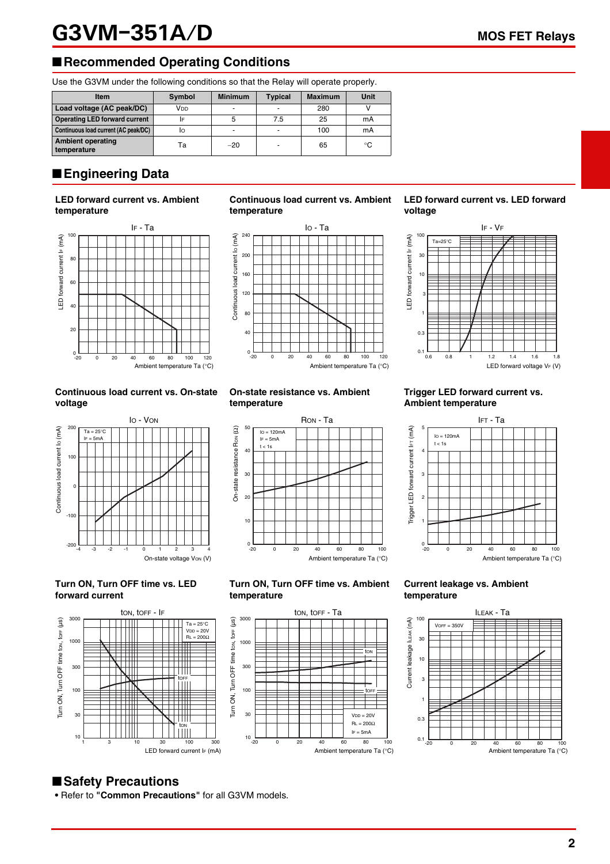# G3VM-351A/D MOS FET Relays

# ■**Recommended Operating Conditions**

Use the G3VM under the following conditions so that the Relay will operate properly.

| <b>Item</b>                             | Symbol          | <b>Minimum</b>           | <b>Typical</b> | <b>Maximum</b> | Unit |
|-----------------------------------------|-----------------|--------------------------|----------------|----------------|------|
| Load voltage (AC peak/DC)               | V <sub>DD</sub> | $\overline{\phantom{0}}$ |                | 280            |      |
| <b>Operating LED forward current</b>    |                 |                          | 7.5            | 25             | mA   |
| Continuous load current (AC peak/DC)    | IО              | -                        |                | 100            | mA   |
| <b>Ambient operating</b><br>temperature | Та              | $-20$                    | -              | 65             | °C   |

# ■**Engineering Data**

### **LED forward current vs. Ambient temperature**



#### **Continuous load current vs. On-state voltage**



#### **Turn ON, Turn OFF time vs. LED forward current**



#### **Continuous load current vs. Ambient temperature**



# **On-state resistance vs. Ambient**



### **Turn ON, Turn OFF time vs. Ambient temperature**



### **LED forward current vs. LED forward voltage**



#### **Trigger LED forward current vs. Ambient temperature**



#### **Current leakage vs. Ambient temperature**



# ■**Safety Precautions**

**•** Refer to **"Common Precautions"** for all G3VM models.